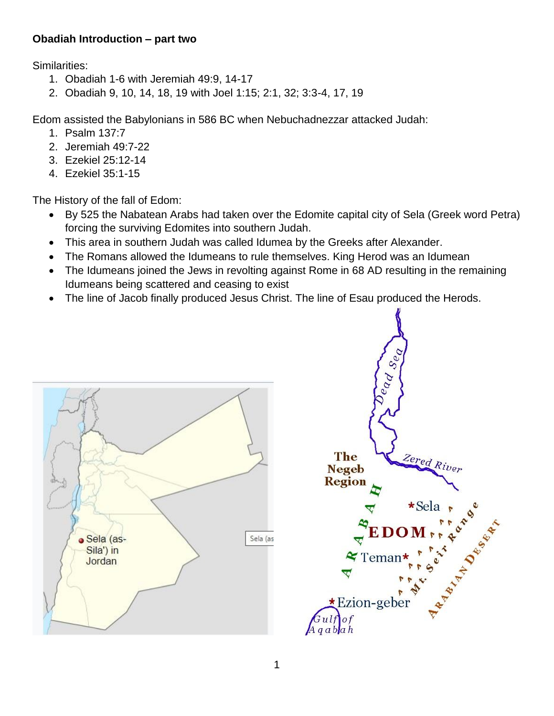## **Obadiah Introduction – part two**

Similarities:

- 1. Obadiah 1-6 with Jeremiah 49:9, 14-17
- 2. Obadiah 9, 10, 14, 18, 19 with Joel 1:15; 2:1, 32; 3:3-4, 17, 19

Edom assisted the Babylonians in 586 BC when Nebuchadnezzar attacked Judah:

- 1. Psalm 137:7
- 2. Jeremiah 49:7-22
- 3. Ezekiel 25:12-14
- 4. Ezekiel 35:1-15

The History of the fall of Edom:

- By 525 the Nabatean Arabs had taken over the Edomite capital city of Sela (Greek word Petra) forcing the surviving Edomites into southern Judah.
- This area in southern Judah was called Idumea by the Greeks after Alexander.
- The Romans allowed the Idumeans to rule themselves. King Herod was an Idumean
- The Idumeans joined the Jews in revolting against Rome in 68 AD resulting in the remaining Idumeans being scattered and ceasing to exist
- The line of Jacob finally produced Jesus Christ. The line of Esau produced the Herods.